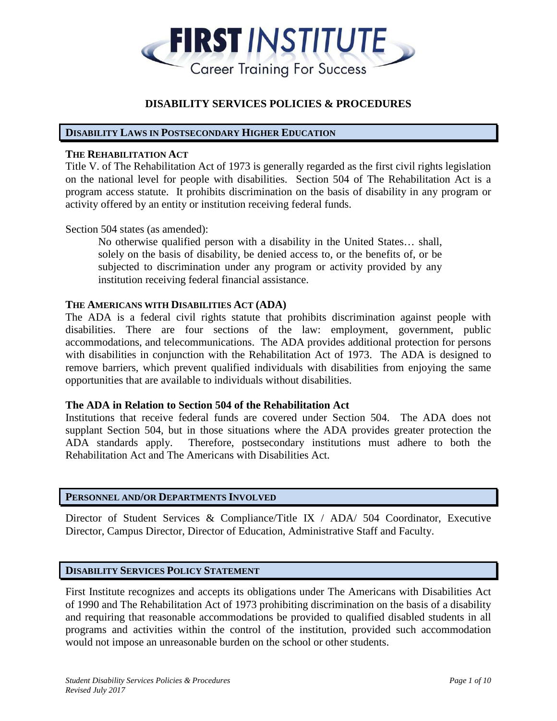

# **DISABILITY SERVICES POLICIES & PROCEDURES**

### **DISABILITY LAWS IN POSTSECONDARY HIGHER EDUCATION**

### **THE REHABILITATION ACT**

Title V. of The Rehabilitation Act of 1973 is generally regarded as the first civil rights legislation on the national level for people with disabilities. Section 504 of The Rehabilitation Act is a program access statute. It prohibits discrimination on the basis of disability in any program or activity offered by an entity or institution receiving federal funds.

### Section 504 states (as amended):

No otherwise qualified person with a disability in the United States… shall, solely on the basis of disability, be denied access to, or the benefits of, or be subjected to discrimination under any program or activity provided by any institution receiving federal financial assistance.

#### **THE AMERICANS WITH DISABILITIES ACT (ADA)**

The ADA is a federal civil rights statute that prohibits discrimination against people with disabilities. There are four sections of the law: employment, government, public accommodations, and telecommunications. The ADA provides additional protection for persons with disabilities in conjunction with the Rehabilitation Act of 1973. The ADA is designed to remove barriers, which prevent qualified individuals with disabilities from enjoying the same opportunities that are available to individuals without disabilities.

### **The ADA in Relation to Section 504 of the Rehabilitation Act**

Institutions that receive federal funds are covered under Section 504. The ADA does not supplant Section 504, but in those situations where the ADA provides greater protection the ADA standards apply. Therefore, postsecondary institutions must adhere to both the Rehabilitation Act and The Americans with Disabilities Act.

### **PERSONNEL AND/OR DEPARTMENTS INVOLVED**

Director of Student Services & Compliance/Title IX / ADA/ 504 Coordinator, Executive Director, Campus Director, Director of Education, Administrative Staff and Faculty.

# **DISABILITY SERVICES POLICY STATEMENT**

First Institute recognizes and accepts its obligations under The Americans with Disabilities Act of 1990 and The Rehabilitation Act of 1973 prohibiting discrimination on the basis of a disability and requiring that reasonable accommodations be provided to qualified disabled students in all programs and activities within the control of the institution, provided such accommodation would not impose an unreasonable burden on the school or other students.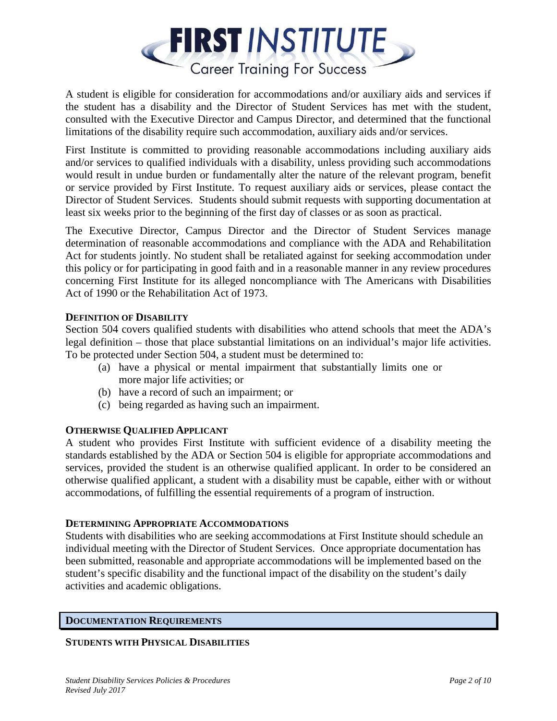

A student is eligible for consideration for accommodations and/or auxiliary aids and services if the student has a disability and the Director of Student Services has met with the student, consulted with the Executive Director and Campus Director, and determined that the functional limitations of the disability require such accommodation, auxiliary aids and/or services.

First Institute is committed to providing reasonable accommodations including auxiliary aids and/or services to qualified individuals with a disability, unless providing such accommodations would result in undue burden or fundamentally alter the nature of the relevant program, benefit or service provided by First Institute. To request auxiliary aids or services, please contact the Director of Student Services. Students should submit requests with supporting documentation at least six weeks prior to the beginning of the first day of classes or as soon as practical.

The Executive Director, Campus Director and the Director of Student Services manage determination of reasonable accommodations and compliance with the ADA and Rehabilitation Act for students jointly. No student shall be retaliated against for seeking accommodation under this policy or for participating in good faith and in a reasonable manner in any review procedures concerning First Institute for its alleged noncompliance with The Americans with Disabilities Act of 1990 or the Rehabilitation Act of 1973.

# **DEFINITION OF DISABILITY**

Section 504 covers qualified students with disabilities who attend schools that meet the ADA's legal definition – those that place substantial limitations on an individual's major life activities. To be protected under Section 504, a student must be determined to:

- (a) have a physical or mental impairment that substantially limits one or more major life activities; or
- (b) have a record of such an impairment; or
- (c) being regarded as having such an impairment.

# **OTHERWISE QUALIFIED APPLICANT**

A student who provides First Institute with sufficient evidence of a disability meeting the standards established by the ADA or Section 504 is eligible for appropriate accommodations and services, provided the student is an otherwise qualified applicant. In order to be considered an otherwise qualified applicant, a student with a disability must be capable, either with or without accommodations, of fulfilling the essential requirements of a program of instruction.

# **DETERMINING APPROPRIATE ACCOMMODATIONS**

Students with disabilities who are seeking accommodations at First Institute should schedule an individual meeting with the Director of Student Services. Once appropriate documentation has been submitted, reasonable and appropriate accommodations will be implemented based on the student's specific disability and the functional impact of the disability on the student's daily activities and academic obligations.

# **DOCUMENTATION REQUIREMENTS**

# **STUDENTS WITH PHYSICAL DISABILITIES**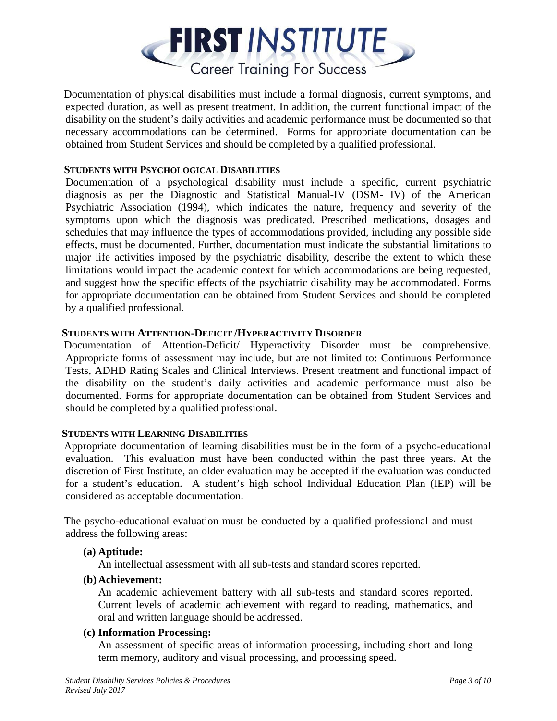

 Documentation of physical disabilities must include a formal diagnosis, current symptoms, and expected duration, as well as present treatment. In addition, the current functional impact of the disability on the student's daily activities and academic performance must be documented so that necessary accommodations can be determined. Forms for appropriate documentation can be obtained from Student Services and should be completed by a qualified professional.

# **STUDENTS WITH PSYCHOLOGICAL DISABILITIES**

Documentation of a psychological disability must include a specific, current psychiatric diagnosis as per the Diagnostic and Statistical Manual-IV (DSM- IV) of the American Psychiatric Association (1994), which indicates the nature, frequency and severity of the symptoms upon which the diagnosis was predicated. Prescribed medications, dosages and schedules that may influence the types of accommodations provided, including any possible side effects, must be documented. Further, documentation must indicate the substantial limitations to major life activities imposed by the psychiatric disability, describe the extent to which these limitations would impact the academic context for which accommodations are being requested, and suggest how the specific effects of the psychiatric disability may be accommodated. Forms for appropriate documentation can be obtained from Student Services and should be completed by a qualified professional.

### **STUDENTS WITH ATTENTION-DEFICIT /HYPERACTIVITY DISORDER**

 Documentation of Attention-Deficit/ Hyperactivity Disorder must be comprehensive. Appropriate forms of assessment may include, but are not limited to: Continuous Performance Tests, ADHD Rating Scales and Clinical Interviews. Present treatment and functional impact of the disability on the student's daily activities and academic performance must also be documented. Forms for appropriate documentation can be obtained from Student Services and should be completed by a qualified professional.

# **STUDENTS WITH LEARNING DISABILITIES**

 Appropriate documentation of learning disabilities must be in the form of a psycho-educational evaluation. This evaluation must have been conducted within the past three years. At the discretion of First Institute, an older evaluation may be accepted if the evaluation was conducted for a student's education. A student's high school Individual Education Plan (IEP) will be considered as acceptable documentation.

 The psycho*-*educational evaluation must be conducted by a qualified professional and must address the following areas:

# **(a) Aptitude:**

An intellectual assessment with all sub-tests and standard scores reported.

### **(b) Achievement:**

 An academic achievement battery with all sub-tests and standard scores reported. Current levels of academic achievement with regard to reading, mathematics, and oral and written language should be addressed.

### **(c) Information Processing:**

An assessment of specific areas of information processing, including short and long term memory, auditory and visual processing, and processing speed.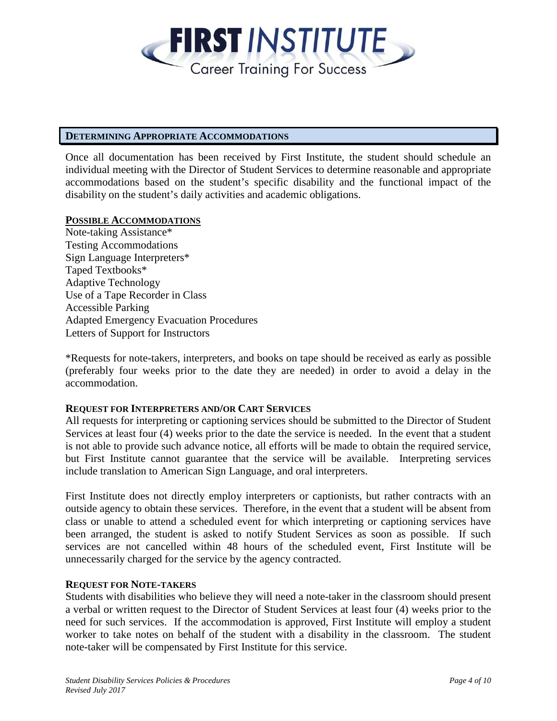

### **DETERMINING APPROPRIATE ACCOMMODATIONS**

Once all documentation has been received by First Institute, the student should schedule an individual meeting with the Director of Student Services to determine reasonable and appropriate accommodations based on the student's specific disability and the functional impact of the disability on the student's daily activities and academic obligations.

### **POSSIBLE ACCOMMODATIONS**

Note-taking Assistance\* Testing Accommodations Sign Language Interpreters\* Taped Textbooks\* Adaptive Technology Use of a Tape Recorder in Class Accessible Parking Adapted Emergency Evacuation Procedures Letters of Support for Instructors

\*Requests for note-takers, interpreters, and books on tape should be received as early as possible (preferably four weeks prior to the date they are needed) in order to avoid a delay in the accommodation.

# **REQUEST FOR INTERPRETERS AND/OR CART SERVICES**

All requests for interpreting or captioning services should be submitted to the Director of Student Services at least four (4) weeks prior to the date the service is needed. In the event that a student is not able to provide such advance notice, all efforts will be made to obtain the required service, but First Institute cannot guarantee that the service will be available. Interpreting services include translation to American Sign Language, and oral interpreters.

First Institute does not directly employ interpreters or captionists, but rather contracts with an outside agency to obtain these services. Therefore, in the event that a student will be absent from class or unable to attend a scheduled event for which interpreting or captioning services have been arranged, the student is asked to notify Student Services as soon as possible. If such services are not cancelled within 48 hours of the scheduled event, First Institute will be unnecessarily charged for the service by the agency contracted.

# **REQUEST FOR NOTE-TAKERS**

Students with disabilities who believe they will need a note-taker in the classroom should present a verbal or written request to the Director of Student Services at least four (4) weeks prior to the need for such services. If the accommodation is approved, First Institute will employ a student worker to take notes on behalf of the student with a disability in the classroom. The student note-taker will be compensated by First Institute for this service.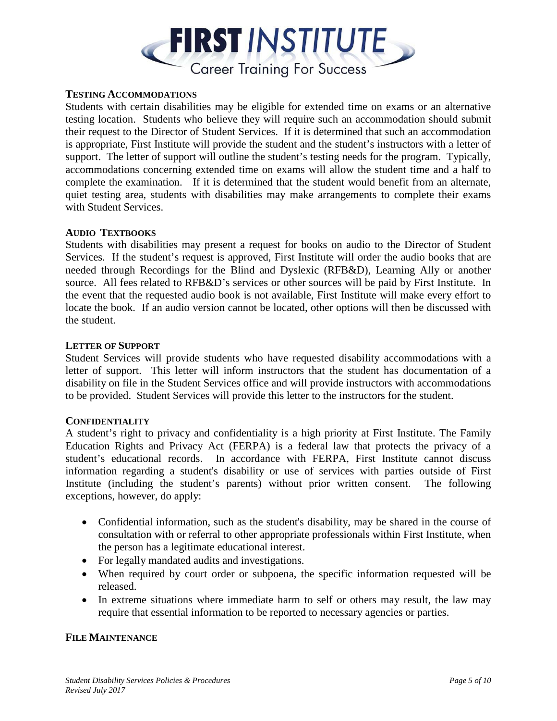

### **TESTING ACCOMMODATIONS**

Students with certain disabilities may be eligible for extended time on exams or an alternative testing location. Students who believe they will require such an accommodation should submit their request to the Director of Student Services. If it is determined that such an accommodation is appropriate, First Institute will provide the student and the student's instructors with a letter of support. The letter of support will outline the student's testing needs for the program. Typically, accommodations concerning extended time on exams will allow the student time and a half to complete the examination. If it is determined that the student would benefit from an alternate, quiet testing area, students with disabilities may make arrangements to complete their exams with Student Services.

### **AUDIO TEXTBOOKS**

Students with disabilities may present a request for books on audio to the Director of Student Services. If the student's request is approved, First Institute will order the audio books that are needed through Recordings for the Blind and Dyslexic (RFB&D), Learning Ally or another source. All fees related to RFB&D's services or other sources will be paid by First Institute. In the event that the requested audio book is not available, First Institute will make every effort to locate the book. If an audio version cannot be located, other options will then be discussed with the student.

### **LETTER OF SUPPORT**

Student Services will provide students who have requested disability accommodations with a letter of support. This letter will inform instructors that the student has documentation of a disability on file in the Student Services office and will provide instructors with accommodations to be provided. Student Services will provide this letter to the instructors for the student.

### **CONFIDENTIALITY**

A student's right to privacy and confidentiality is a high priority at First Institute. The Family Education Rights and Privacy Act (FERPA) is a federal law that protects the privacy of a student's educational records. In accordance with FERPA, First Institute cannot discuss information regarding a student's disability or use of services with parties outside of First Institute (including the student's parents) without prior written consent. The following exceptions, however, do apply:

- Confidential information, such as the student's disability, may be shared in the course of consultation with or referral to other appropriate professionals within First Institute, when the person has a legitimate educational interest.
- For legally mandated audits and investigations.
- When required by court order or subpoena, the specific information requested will be released.
- In extreme situations where immediate harm to self or others may result, the law may require that essential information to be reported to necessary agencies or parties.

### **FILE MAINTENANCE**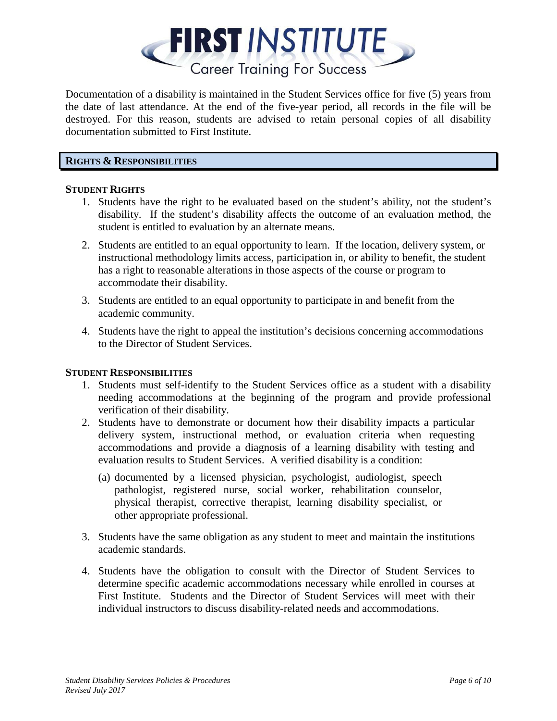

Documentation of a disability is maintained in the Student Services office for five (5) years from the date of last attendance. At the end of the five-year period, all records in the file will be destroyed. For this reason, students are advised to retain personal copies of all disability documentation submitted to First Institute.

# **RIGHTS & RESPONSIBILITIES**

### **STUDENT RIGHTS**

- 1. Students have the right to be evaluated based on the student's ability, not the student's disability. If the student's disability affects the outcome of an evaluation method, the student is entitled to evaluation by an alternate means.
- 2. Students are entitled to an equal opportunity to learn. If the location, delivery system, or instructional methodology limits access, participation in, or ability to benefit, the student has a right to reasonable alterations in those aspects of the course or program to accommodate their disability.
- 3. Students are entitled to an equal opportunity to participate in and benefit from the academic community.
- 4. Students have the right to appeal the institution's decisions concerning accommodations to the Director of Student Services.

# **STUDENT RESPONSIBILITIES**

- 1. Students must self-identify to the Student Services office as a student with a disability needing accommodations at the beginning of the program and provide professional verification of their disability.
- 2. Students have to demonstrate or document how their disability impacts a particular delivery system, instructional method, or evaluation criteria when requesting accommodations and provide a diagnosis of a learning disability with testing and evaluation results to Student Services. A verified disability is a condition:
	- (a) documented by a licensed physician, psychologist, audiologist, speech pathologist, registered nurse, social worker, rehabilitation counselor, physical therapist, corrective therapist, learning disability specialist, or other appropriate professional.
- 3. Students have the same obligation as any student to meet and maintain the institutions academic standards.
- 4. Students have the obligation to consult with the Director of Student Services to determine specific academic accommodations necessary while enrolled in courses at First Institute. Students and the Director of Student Services will meet with their individual instructors to discuss disability-related needs and accommodations.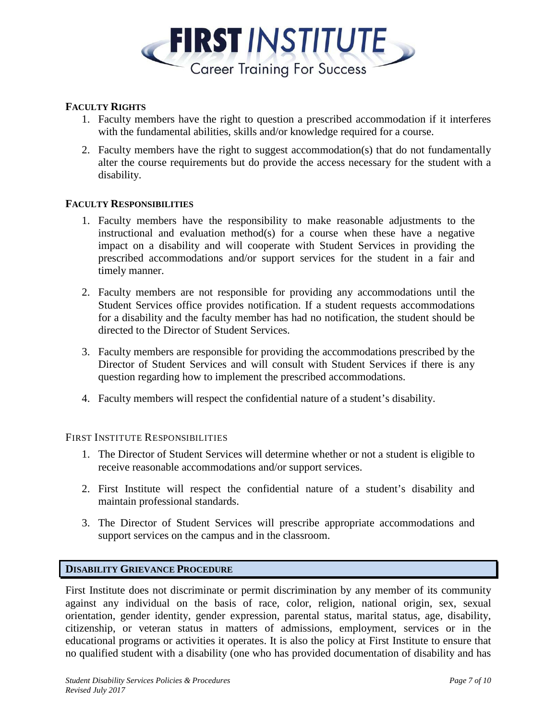

# **FACULTY RIGHTS**

- 1. Faculty members have the right to question a prescribed accommodation if it interferes with the fundamental abilities, skills and/or knowledge required for a course.
- 2. Faculty members have the right to suggest accommodation(s) that do not fundamentally alter the course requirements but do provide the access necessary for the student with a disability.

# **FACULTY RESPONSIBILITIES**

- 1. Faculty members have the responsibility to make reasonable adjustments to the instructional and evaluation method(s) for a course when these have a negative impact on a disability and will cooperate with Student Services in providing the prescribed accommodations and/or support services for the student in a fair and timely manner.
- 2. Faculty members are not responsible for providing any accommodations until the Student Services office provides notification. If a student requests accommodations for a disability and the faculty member has had no notification, the student should be directed to the Director of Student Services.
- 3. Faculty members are responsible for providing the accommodations prescribed by the Director of Student Services and will consult with Student Services if there is any question regarding how to implement the prescribed accommodations.
- 4. Faculty members will respect the confidential nature of a student's disability.

### FIRST INSTITUTE RESPONSIBILITIES

- 1. The Director of Student Services will determine whether or not a student is eligible to receive reasonable accommodations and/or support services.
- 2. First Institute will respect the confidential nature of a student's disability and maintain professional standards.
- 3. The Director of Student Services will prescribe appropriate accommodations and support services on the campus and in the classroom.

### **DISABILITY GRIEVANCE PROCEDURE**

First Institute does not discriminate or permit discrimination by any member of its community against any individual on the basis of race, color, religion, national origin, sex, sexual orientation, gender identity, gender expression, parental status, marital status, age, disability, citizenship, or veteran status in matters of admissions, employment, services or in the educational programs or activities it operates. It is also the policy at First Institute to ensure that no qualified student with a disability (one who has provided documentation of disability and has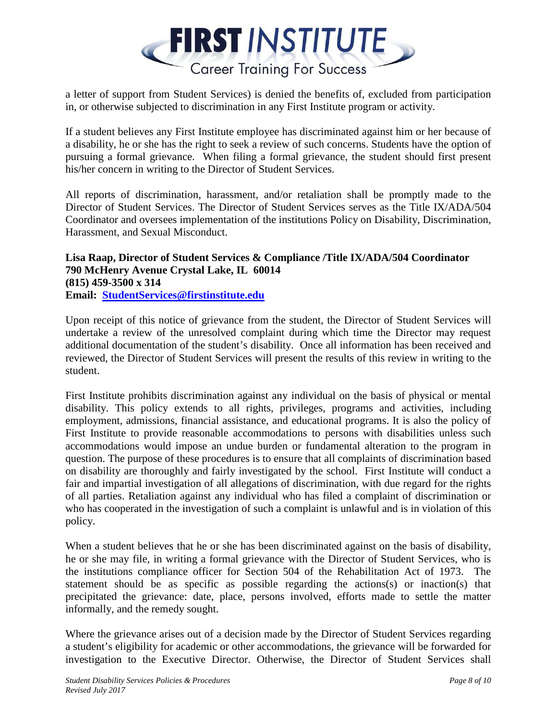

a letter of support from Student Services) is denied the benefits of, excluded from participation in, or otherwise subjected to discrimination in any First Institute program or activity.

If a student believes any First Institute employee has discriminated against him or her because of a disability, he or she has the right to seek a review of such concerns. Students have the option of pursuing a formal grievance. When filing a formal grievance, the student should first present his/her concern in writing to the Director of Student Services.

All reports of discrimination, harassment, and/or retaliation shall be promptly made to the Director of Student Services. The Director of Student Services serves as the Title IX/ADA/504 Coordinator and oversees implementation of the institutions Policy on Disability, Discrimination, Harassment, and Sexual Misconduct.

**Lisa Raap, Director of Student Services & Compliance /Title IX/ADA/504 Coordinator 790 McHenry Avenue Crystal Lake, IL 60014 (815) 459-3500 x 314 Email: [StudentServices@firstinstitute.edu](mailto:StudentServices@firstinstitute.edu)**

Upon receipt of this notice of grievance from the student, the Director of Student Services will undertake a review of the unresolved complaint during which time the Director may request additional documentation of the student's disability. Once all information has been received and reviewed, the Director of Student Services will present the results of this review in writing to the student.

First Institute prohibits discrimination against any individual on the basis of physical or mental disability. This policy extends to all rights, privileges, programs and activities, including employment, admissions, financial assistance, and educational programs. It is also the policy of First Institute to provide reasonable accommodations to persons with disabilities unless such accommodations would impose an undue burden or fundamental alteration to the program in question. The purpose of these procedures is to ensure that all complaints of discrimination based on disability are thoroughly and fairly investigated by the school. First Institute will conduct a fair and impartial investigation of all allegations of discrimination, with due regard for the rights of all parties. Retaliation against any individual who has filed a complaint of discrimination or who has cooperated in the investigation of such a complaint is unlawful and is in violation of this policy.

When a student believes that he or she has been discriminated against on the basis of disability, he or she may file, in writing a formal grievance with the Director of Student Services, who is the institutions compliance officer for Section 504 of the Rehabilitation Act of 1973. The statement should be as specific as possible regarding the actions(s) or inaction(s) that precipitated the grievance: date, place, persons involved, efforts made to settle the matter informally, and the remedy sought.

Where the grievance arises out of a decision made by the Director of Student Services regarding a student's eligibility for academic or other accommodations, the grievance will be forwarded for investigation to the Executive Director. Otherwise, the Director of Student Services shall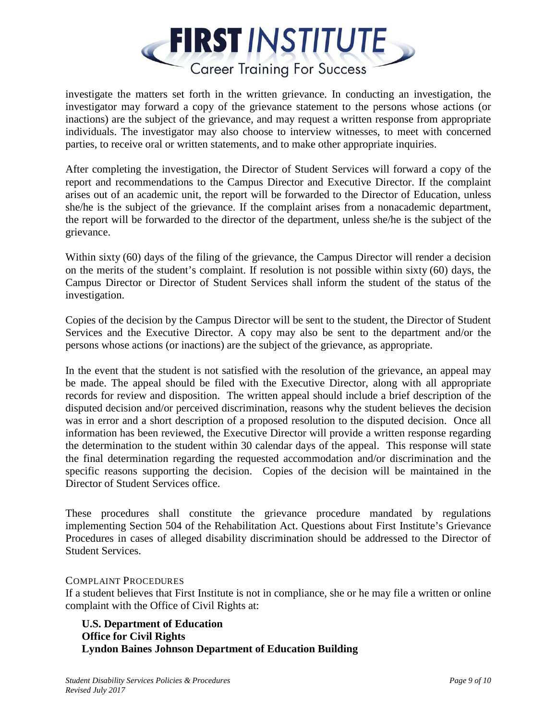

investigate the matters set forth in the written grievance. In conducting an investigation, the investigator may forward a copy of the grievance statement to the persons whose actions (or inactions) are the subject of the grievance, and may request a written response from appropriate individuals. The investigator may also choose to interview witnesses, to meet with concerned parties, to receive oral or written statements, and to make other appropriate inquiries.

After completing the investigation, the Director of Student Services will forward a copy of the report and recommendations to the Campus Director and Executive Director. If the complaint arises out of an academic unit, the report will be forwarded to the Director of Education, unless she/he is the subject of the grievance. If the complaint arises from a nonacademic department, the report will be forwarded to the director of the department, unless she/he is the subject of the grievance.

Within sixty (60) days of the filing of the grievance, the Campus Director will render a decision on the merits of the student's complaint. If resolution is not possible within sixty (60) days, the Campus Director or Director of Student Services shall inform the student of the status of the investigation.

Copies of the decision by the Campus Director will be sent to the student, the Director of Student Services and the Executive Director. A copy may also be sent to the department and/or the persons whose actions (or inactions) are the subject of the grievance, as appropriate.

In the event that the student is not satisfied with the resolution of the grievance, an appeal may be made. The appeal should be filed with the Executive Director, along with all appropriate records for review and disposition. The written appeal should include a brief description of the disputed decision and/or perceived discrimination, reasons why the student believes the decision was in error and a short description of a proposed resolution to the disputed decision. Once all information has been reviewed, the Executive Director will provide a written response regarding the determination to the student within 30 calendar days of the appeal. This response will state the final determination regarding the requested accommodation and/or discrimination and the specific reasons supporting the decision. Copies of the decision will be maintained in the Director of Student Services office.

These procedures shall constitute the grievance procedure mandated by regulations implementing Section 504 of the Rehabilitation Act. Questions about First Institute's Grievance Procedures in cases of alleged disability discrimination should be addressed to the Director of Student Services.

# COMPLAINT PROCEDURES

If a student believes that First Institute is not in compliance, she or he may file a written or online complaint with the Office of Civil Rights at:

**U.S. Department of Education Office for Civil Rights Lyndon Baines Johnson Department of Education Building**